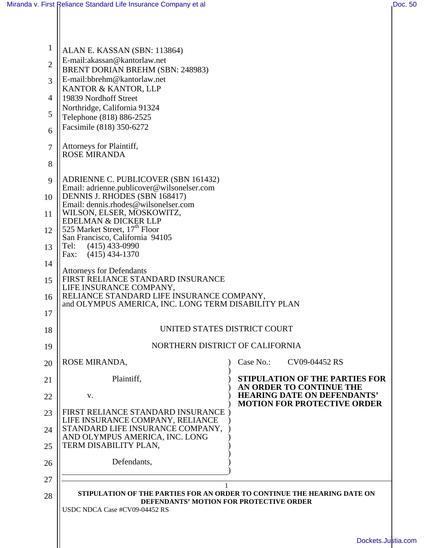| 1              | ALAN E. KASSAN (SBN: 113864)                                                                                                    |                                                                |  |
|----------------|---------------------------------------------------------------------------------------------------------------------------------|----------------------------------------------------------------|--|
| $\overline{2}$ | E-mail:akassan@kantorlaw.net                                                                                                    |                                                                |  |
| 3              | BRENT DORIAN BREHM (SBN: 248983)<br>E-mail:bbrehm@kantorlaw.net                                                                 |                                                                |  |
|                | KANTOR & KANTOR, LLP                                                                                                            |                                                                |  |
| $\overline{4}$ | 19839 Nordhoff Street<br>Northridge, California 91324                                                                           |                                                                |  |
| 5              | Telephone (818) 886-2525                                                                                                        |                                                                |  |
| 6              | Facsimile (818) 350-6272                                                                                                        |                                                                |  |
| $\overline{7}$ | Attorneys for Plaintiff,<br><b>ROSE MIRANDA</b>                                                                                 |                                                                |  |
| 8              |                                                                                                                                 |                                                                |  |
| 9              | ADRIENNE C. PUBLICOVER (SBN 161432)                                                                                             |                                                                |  |
| 10             | Email: adrienne.publicover@wilsonelser.com<br>DENNIS J. RHODES (SBN 168417)                                                     |                                                                |  |
| 11             | Email: dennis.rhodes@wilsonelser.com<br>WILSON, ELSER, MOSKOWITZ,                                                               |                                                                |  |
|                | EDELMAN & DICKER LLP                                                                                                            |                                                                |  |
| 12             | 525 Market Street, 17 <sup>th</sup> Floor<br>San Francisco, California 94105                                                    |                                                                |  |
| 13             | $(415)$ 433-0990<br>Tel:<br>$(415)$ 434-1370<br>Fax:                                                                            |                                                                |  |
| 14             | <b>Attorneys for Defendants</b>                                                                                                 |                                                                |  |
| 15             | FIRST RELIANCE STANDARD INSURANCE                                                                                               |                                                                |  |
| 16             | LIFE INSURANCE COMPANY,<br>RELIANCE STANDARD LIFE INSURANCE COMPANY,                                                            |                                                                |  |
| 17             | and OLYMPUS AMERICA, INC. LONG TERM DISABILITY PLAN                                                                             |                                                                |  |
| 18             | UNITED STATES DISTRICT COURT                                                                                                    |                                                                |  |
| 19             | NORTHERN DISTRICT OF CALIFORNIA                                                                                                 |                                                                |  |
| 20             | ROSE MIRANDA,                                                                                                                   | Case No.:<br>CV09-04452 RS                                     |  |
| 21             | Plaintiff,                                                                                                                      | <b>STIPULATION OF THE PARTIES FOR</b>                          |  |
| 22             | V.                                                                                                                              | AN ORDER TO CONTINUE THE<br><b>HEARING DATE ON DEFENDANTS'</b> |  |
| 23             | FIRST RELIANCE STANDARD INSURANCE                                                                                               | <b>MOTION FOR PROTECTIVE ORDER</b>                             |  |
| 24             | LIFE INSURANCE COMPANY, RELIANCE<br>STANDARD LIFE INSURANCE COMPANY,<br>AND OLYMPUS AMERICA, INC. LONG<br>TERM DISABILITY PLAN, |                                                                |  |
| 25             |                                                                                                                                 |                                                                |  |
| 26             | Defendants,                                                                                                                     |                                                                |  |
| 27             |                                                                                                                                 |                                                                |  |
| 28             | STIPULATION OF THE PARTIES FOR AN ORDER TO CONTINUE THE HEARING DATE ON                                                         |                                                                |  |
|                | DEFENDANTS' MOTION FOR PROTECTIVE ORDER<br>USDC NDCA Case #CV09-04452 RS                                                        |                                                                |  |
|                |                                                                                                                                 |                                                                |  |
|                |                                                                                                                                 |                                                                |  |
|                |                                                                                                                                 | Dockets.Justia.co                                              |  |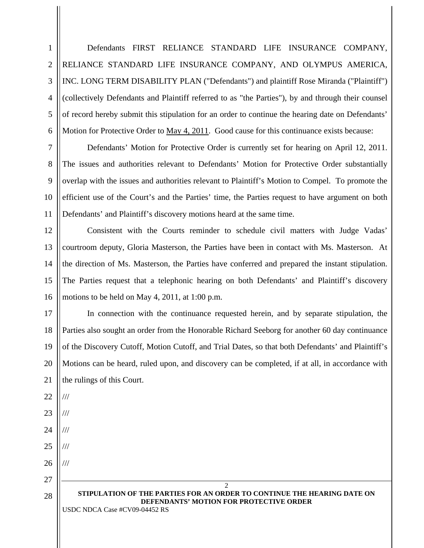Defendants FIRST RELIANCE STANDARD LIFE INSURANCE COMPANY, RELIANCE STANDARD LIFE INSURANCE COMPANY, AND OLYMPUS AMERICA, INC. LONG TERM DISABILITY PLAN ("Defendants") and plaintiff Rose Miranda ("Plaintiff") (collectively Defendants and Plaintiff referred to as "the Parties"), by and through their counsel of record hereby submit this stipulation for an order to continue the hearing date on Defendants' Motion for Protective Order to May 4, 2011. Good cause for this continuance exists because:

7 8 9 10 11 Defendants' Motion for Protective Order is currently set for hearing on April 12, 2011. The issues and authorities relevant to Defendants' Motion for Protective Order substantially overlap with the issues and authorities relevant to Plaintiff's Motion to Compel. To promote the efficient use of the Court's and the Parties' time, the Parties request to have argument on both Defendants' and Plaintiff's discovery motions heard at the same time.

12 13 14 15 16 Consistent with the Courts reminder to schedule civil matters with Judge Vadas' courtroom deputy, Gloria Masterson, the Parties have been in contact with Ms. Masterson. At the direction of Ms. Masterson, the Parties have conferred and prepared the instant stipulation. The Parties request that a telephonic hearing on both Defendants' and Plaintiff's discovery motions to be held on May 4, 2011, at 1:00 p.m.

17 18 19 20 21 In connection with the continuance requested herein, and by separate stipulation, the Parties also sought an order from the Honorable Richard Seeborg for another 60 day continuance of the Discovery Cutoff, Motion Cutoff, and Trial Dates, so that both Defendants' and Plaintiff's Motions can be heard, ruled upon, and discovery can be completed, if at all, in accordance with the rulings of this Court.

## 2 **STIPULATION OF THE PARTIES FOR AN ORDER TO CONTINUE THE HEARING DATE ON DEFENDANTS' MOTION FOR PROTECTIVE ORDER**

USDC NDCA Case #CV09-04452 RS

1

2

3

4

5

6

22

///

///

///

///

///

23

24

25

26

27

28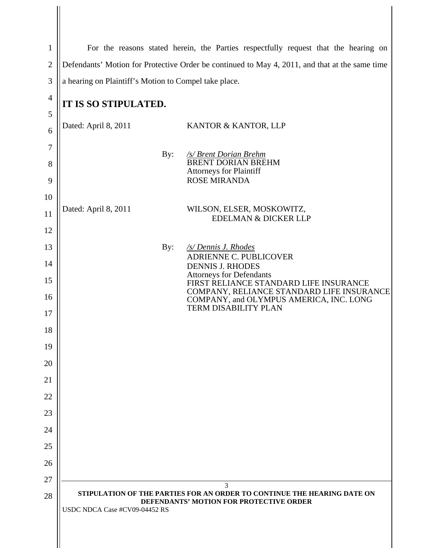| $\mathbf{1}$   | For the reasons stated herein, the Parties respectfully request that the hearing on                                                                 |                                                                                      |  |
|----------------|-----------------------------------------------------------------------------------------------------------------------------------------------------|--------------------------------------------------------------------------------------|--|
| $\overline{2}$ | Defendants' Motion for Protective Order be continued to May 4, 2011, and that at the same time                                                      |                                                                                      |  |
| 3              | a hearing on Plaintiff's Motion to Compel take place.                                                                                               |                                                                                      |  |
| $\overline{4}$ |                                                                                                                                                     |                                                                                      |  |
| 5              | IT IS SO STIPULATED.                                                                                                                                |                                                                                      |  |
| 6              | Dated: April 8, 2011                                                                                                                                | KANTOR & KANTOR, LLP                                                                 |  |
| 7              |                                                                                                                                                     |                                                                                      |  |
| 8              | By:                                                                                                                                                 | /s/ Brent Dorian Brehm<br><b>BRENT DORIAN BREHM</b>                                  |  |
| 9              |                                                                                                                                                     | <b>Attorneys for Plaintiff</b><br><b>ROSE MIRANDA</b>                                |  |
| 10             |                                                                                                                                                     |                                                                                      |  |
| 11             | Dated: April 8, 2011                                                                                                                                | WILSON, ELSER, MOSKOWITZ,<br>EDELMAN & DICKER LLP                                    |  |
| 12             |                                                                                                                                                     |                                                                                      |  |
| 13             | By:                                                                                                                                                 | /s/ Dennis J. Rhodes                                                                 |  |
| 14             |                                                                                                                                                     | ADRIENNE C. PUBLICOVER<br><b>DENNIS J. RHODES</b>                                    |  |
| 15             | <b>Attorneys for Defendants</b><br>FIRST RELIANCE STANDARD LIFE INSURANCE                                                                           |                                                                                      |  |
| 16             |                                                                                                                                                     | COMPANY, RELIANCE STANDARD LIFE INSURANCE<br>COMPANY, and OLYMPUS AMERICA, INC. LONG |  |
| 17             |                                                                                                                                                     | <b>TERM DISABILITY PLAN</b>                                                          |  |
| 18             |                                                                                                                                                     |                                                                                      |  |
| 19             |                                                                                                                                                     |                                                                                      |  |
| 20             |                                                                                                                                                     |                                                                                      |  |
| 21             |                                                                                                                                                     |                                                                                      |  |
| 22             |                                                                                                                                                     |                                                                                      |  |
| 23             |                                                                                                                                                     |                                                                                      |  |
| 24             |                                                                                                                                                     |                                                                                      |  |
| 25             |                                                                                                                                                     |                                                                                      |  |
| 26             |                                                                                                                                                     |                                                                                      |  |
| 27             |                                                                                                                                                     | 3                                                                                    |  |
| 28             | STIPULATION OF THE PARTIES FOR AN ORDER TO CONTINUE THE HEARING DATE ON<br>DEFENDANTS' MOTION FOR PROTECTIVE ORDER<br>USDC NDCA Case #CV09-04452 RS |                                                                                      |  |

 $\mathsf{I}$